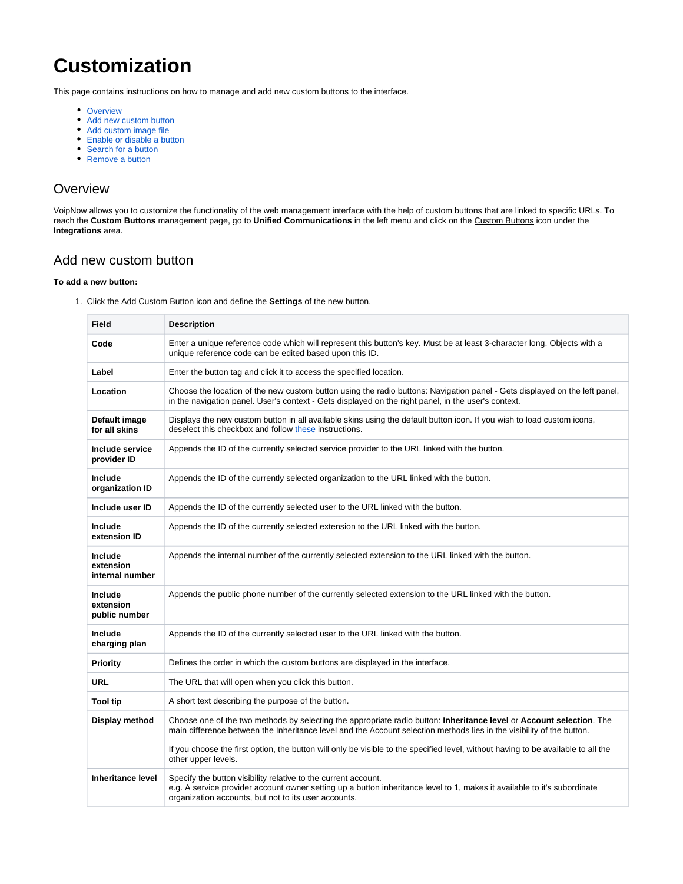# **Customization**

This page contains instructions on how to manage and add new custom buttons to the interface.

- [Overview](#page-0-0)
- [Add new custom button](#page-0-1)
- [Add custom image file](#page-1-0)
- [Enable or disable a button](#page-1-1)
- [Search for a button](#page-1-2)
- [Remove a button](#page-1-3)

#### <span id="page-0-0"></span>**Overview**

VoipNow allows you to customize the functionality of the web management interface with the help of custom buttons that are linked to specific URLs. To reach the **Custom Buttons** management page, go to **Unified Communications** in the left menu and click on the Custom Buttons icon under the **Integrations** area.

### <span id="page-0-1"></span>Add new custom button

#### **To add a new button:**

1. Click the Add Custom Button icon and define the **Settings** of the new button.

| <b>Field</b>                            | <b>Description</b>                                                                                                                                                                                                                                 |
|-----------------------------------------|----------------------------------------------------------------------------------------------------------------------------------------------------------------------------------------------------------------------------------------------------|
| Code                                    | Enter a unique reference code which will represent this button's key. Must be at least 3-character long. Objects with a<br>unique reference code can be edited based upon this ID.                                                                 |
| Label                                   | Enter the button tag and click it to access the specified location.                                                                                                                                                                                |
| Location                                | Choose the location of the new custom button using the radio buttons: Navigation panel - Gets displayed on the left panel,<br>in the navigation panel. User's context - Gets displayed on the right panel, in the user's context.                  |
| Default image<br>for all skins          | Displays the new custom button in all available skins using the default button icon. If you wish to load custom icons,<br>deselect this checkbox and follow these instructions.                                                                    |
| Include service<br>provider ID          | Appends the ID of the currently selected service provider to the URL linked with the button.                                                                                                                                                       |
| Include<br>organization ID              | Appends the ID of the currently selected organization to the URL linked with the button.                                                                                                                                                           |
| Include user ID                         | Appends the ID of the currently selected user to the URL linked with the button.                                                                                                                                                                   |
| Include<br>extension ID                 | Appends the ID of the currently selected extension to the URL linked with the button.                                                                                                                                                              |
| Include<br>extension<br>internal number | Appends the internal number of the currently selected extension to the URL linked with the button.                                                                                                                                                 |
| Include<br>extension<br>public number   | Appends the public phone number of the currently selected extension to the URL linked with the button.                                                                                                                                             |
| Include<br>charging plan                | Appends the ID of the currently selected user to the URL linked with the button.                                                                                                                                                                   |
| Priority                                | Defines the order in which the custom buttons are displayed in the interface.                                                                                                                                                                      |
| URL                                     | The URL that will open when you click this button.                                                                                                                                                                                                 |
| <b>Tool tip</b>                         | A short text describing the purpose of the button.                                                                                                                                                                                                 |
| Display method                          | Choose one of the two methods by selecting the appropriate radio button: Inheritance level or Account selection. The<br>main difference between the Inheritance level and the Account selection methods lies in the visibility of the button.      |
|                                         | If you choose the first option, the button will only be visible to the specified level, without having to be available to all the<br>other upper levels.                                                                                           |
| <b>Inheritance level</b>                | Specify the button visibility relative to the current account.<br>e.g. A service provider account owner setting up a button inheritance level to 1, makes it available to it's subordinate<br>organization accounts, but not to its user accounts. |